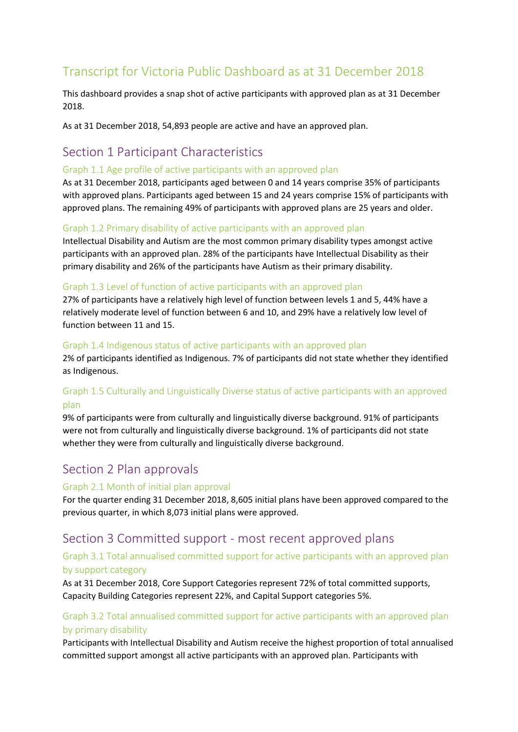# Transcript for Victoria Public Dashboard as at 31 December 2018

This dashboard provides a snap shot of active participants with approved plan as at 31 December 2018.

As at 31 December 2018, 54,893 people are active and have an approved plan.

# Section 1 Participant Characteristics

#### Graph 1.1 Age profile of active participants with an approved plan

As at 31 December 2018, participants aged between 0 and 14 years comprise 35% of participants with approved plans. Participants aged between 15 and 24 years comprise 15% of participants with approved plans. The remaining 49% of participants with approved plans are 25 years and older.

#### Graph 1.2 Primary disability of active participants with an approved plan

Intellectual Disability and Autism are the most common primary disability types amongst active participants with an approved plan. 28% of the participants have Intellectual Disability as their primary disability and 26% of the participants have Autism as their primary disability.

#### Graph 1.3 Level of function of active participants with an approved plan

27% of participants have a relatively high level of function between levels 1 and 5, 44% have a relatively moderate level of function between 6 and 10, and 29% have a relatively low level of function between 11 and 15.

#### Graph 1.4 Indigenous status of active participants with an approved plan

2% of participants identified as Indigenous. 7% of participants did not state whether they identified as Indigenous.

## Graph 1.5 Culturally and Linguistically Diverse status of active participants with an approved plan

9% of participants were from culturally and linguistically diverse background. 91% of participants were not from culturally and linguistically diverse background. 1% of participants did not state whether they were from culturally and linguistically diverse background.

# Section 2 Plan approvals

#### Graph 2.1 Month of initial plan approval

For the quarter ending 31 December 2018, 8,605 initial plans have been approved compared to the previous quarter, in which 8,073 initial plans were approved.

# Section 3 Committed support - most recent approved plans

### Graph 3.1 Total annualised committed support for active participants with an approved plan by support category

As at 31 December 2018, Core Support Categories represent 72% of total committed supports, Capacity Building Categories represent 22%, and Capital Support categories 5%.

## Graph 3.2 Total annualised committed support for active participants with an approved plan by primary disability

Participants with Intellectual Disability and Autism receive the highest proportion of total annualised committed support amongst all active participants with an approved plan. Participants with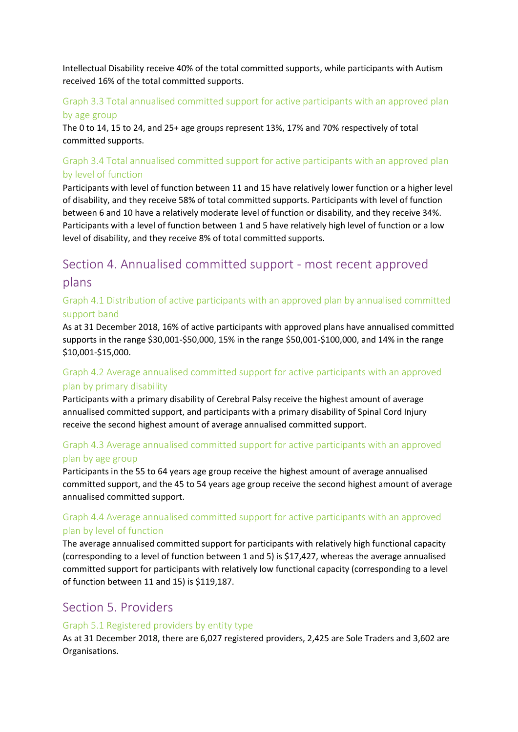Intellectual Disability receive 40% of the total committed supports, while participants with Autism received 16% of the total committed supports.

# Graph 3.3 Total annualised committed support for active participants with an approved plan

#### by age group

The 0 to 14, 15 to 24, and 25+ age groups represent 13%, 17% and 70% respectively of total committed supports.

# Graph 3.4 Total annualised committed support for active participants with an approved plan by level of function

Participants with level of function between 11 and 15 have relatively lower function or a higher level of disability, and they receive 58% of total committed supports. Participants with level of function between 6 and 10 have a relatively moderate level of function or disability, and they receive 34%. Participants with a level of function between 1 and 5 have relatively high level of function or a low level of disability, and they receive 8% of total committed supports.

# Section 4. Annualised committed support - most recent approved plans

# Graph 4.1 Distribution of active participants with an approved plan by annualised committed support band

As at 31 December 2018, 16% of active participants with approved plans have annualised committed supports in the range \$30,001-\$50,000, 15% in the range \$50,001-\$100,000, and 14% in the range \$10,001-\$15,000.

# Graph 4.2 Average annualised committed support for active participants with an approved plan by primary disability

Participants with a primary disability of Cerebral Palsy receive the highest amount of average annualised committed support, and participants with a primary disability of Spinal Cord Injury receive the second highest amount of average annualised committed support.

# Graph 4.3 Average annualised committed support for active participants with an approved plan by age group

Participants in the 55 to 64 years age group receive the highest amount of average annualised committed support, and the 45 to 54 years age group receive the second highest amount of average annualised committed support.

## Graph 4.4 Average annualised committed support for active participants with an approved plan by level of function

The average annualised committed support for participants with relatively high functional capacity (corresponding to a level of function between 1 and 5) is \$17,427, whereas the average annualised committed support for participants with relatively low functional capacity (corresponding to a level of function between 11 and 15) is \$119,187.

# Section 5. Providers

#### Graph 5.1 Registered providers by entity type

As at 31 December 2018, there are 6,027 registered providers, 2,425 are Sole Traders and 3,602 are Organisations.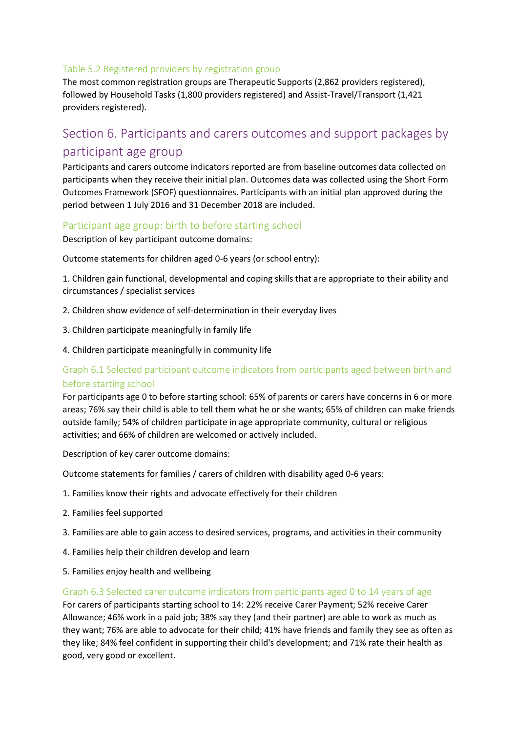#### Table 5.2 Registered providers by registration group

The most common registration groups are Therapeutic Supports (2,862 providers registered), followed by Household Tasks (1,800 providers registered) and Assist-Travel/Transport (1,421 providers registered).

# Section 6. Participants and carers outcomes and support packages by participant age group

Participants and carers outcome indicators reported are from baseline outcomes data collected on participants when they receive their initial plan. Outcomes data was collected using the Short Form Outcomes Framework (SFOF) questionnaires. Participants with an initial plan approved during the period between 1 July 2016 and 31 December 2018 are included.

#### Participant age group: birth to before starting school

Description of key participant outcome domains:

Outcome statements for children aged 0-6 years (or school entry):

1. Children gain functional, developmental and coping skills that are appropriate to their ability and circumstances / specialist services

- 2. Children show evidence of self-determination in their everyday lives
- 3. Children participate meaningfully in family life
- 4. Children participate meaningfully in community life

### Graph 6.1 Selected participant outcome indicators from participants aged between birth and before starting school

For participants age 0 to before starting school: 65% of parents or carers have concerns in 6 or more areas; 76% say their child is able to tell them what he or she wants; 65% of children can make friends outside family; 54% of children participate in age appropriate community, cultural or religious activities; and 66% of children are welcomed or actively included.

Description of key carer outcome domains:

Outcome statements for families / carers of children with disability aged 0-6 years:

- 1. Families know their rights and advocate effectively for their children
- 2. Families feel supported
- 3. Families are able to gain access to desired services, programs, and activities in their community
- 4. Families help their children develop and learn
- 5. Families enjoy health and wellbeing

#### Graph 6.3 Selected carer outcome indicators from participants aged 0 to 14 years of age

For carers of participants starting school to 14: 22% receive Carer Payment; 52% receive Carer Allowance; 46% work in a paid job; 38% say they (and their partner) are able to work as much as they want; 76% are able to advocate for their child; 41% have friends and family they see as often as they like; 84% feel confident in supporting their child's development; and 71% rate their health as good, very good or excellent.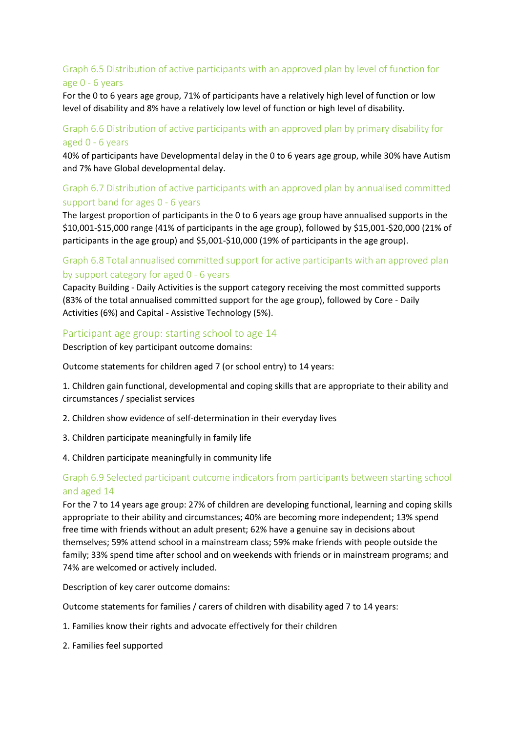# Graph 6.5 Distribution of active participants with an approved plan by level of function for age 0 - 6 years

For the 0 to 6 years age group, 71% of participants have a relatively high level of function or low level of disability and 8% have a relatively low level of function or high level of disability.

#### Graph 6.6 Distribution of active participants with an approved plan by primary disability for aged 0 - 6 years

40% of participants have Developmental delay in the 0 to 6 years age group, while 30% have Autism and 7% have Global developmental delay.

## Graph 6.7 Distribution of active participants with an approved plan by annualised committed support band for ages 0 - 6 years

The largest proportion of participants in the 0 to 6 years age group have annualised supports in the \$10,001-\$15,000 range (41% of participants in the age group), followed by \$15,001-\$20,000 (21% of participants in the age group) and \$5,001-\$10,000 (19% of participants in the age group).

#### Graph 6.8 Total annualised committed support for active participants with an approved plan by support category for aged 0 - 6 years

Capacity Building - Daily Activities is the support category receiving the most committed supports (83% of the total annualised committed support for the age group), followed by Core - Daily Activities (6%) and Capital - Assistive Technology (5%).

#### Participant age group: starting school to age 14

Description of key participant outcome domains:

Outcome statements for children aged 7 (or school entry) to 14 years:

1. Children gain functional, developmental and coping skills that are appropriate to their ability and circumstances / specialist services

- 2. Children show evidence of self-determination in their everyday lives
- 3. Children participate meaningfully in family life
- 4. Children participate meaningfully in community life

#### Graph 6.9 Selected participant outcome indicators from participants between starting school and aged 14

For the 7 to 14 years age group: 27% of children are developing functional, learning and coping skills appropriate to their ability and circumstances; 40% are becoming more independent; 13% spend free time with friends without an adult present; 62% have a genuine say in decisions about themselves; 59% attend school in a mainstream class; 59% make friends with people outside the family; 33% spend time after school and on weekends with friends or in mainstream programs; and 74% are welcomed or actively included.

Description of key carer outcome domains:

Outcome statements for families / carers of children with disability aged 7 to 14 years:

- 1. Families know their rights and advocate effectively for their children
- 2. Families feel supported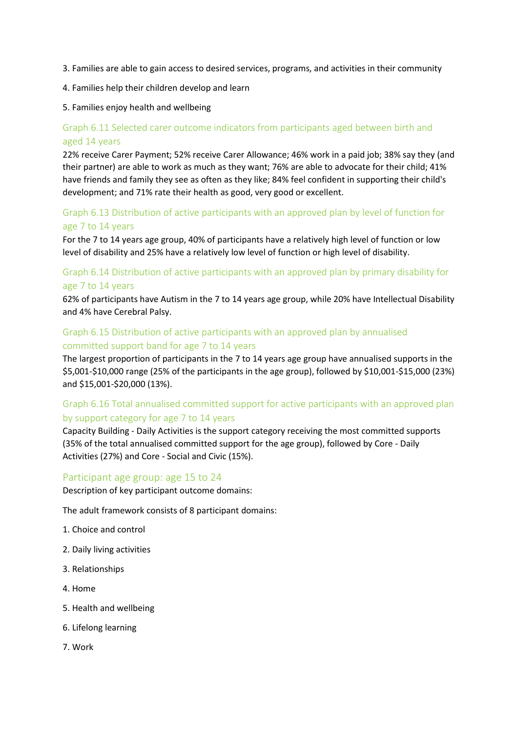- 3. Families are able to gain access to desired services, programs, and activities in their community
- 4. Families help their children develop and learn

#### 5. Families enjoy health and wellbeing

# Graph 6.11 Selected carer outcome indicators from participants aged between birth and aged 14 years

22% receive Carer Payment; 52% receive Carer Allowance; 46% work in a paid job; 38% say they (and their partner) are able to work as much as they want; 76% are able to advocate for their child; 41% have friends and family they see as often as they like; 84% feel confident in supporting their child's development; and 71% rate their health as good, very good or excellent.

### Graph 6.13 Distribution of active participants with an approved plan by level of function for age 7 to 14 years

For the 7 to 14 years age group, 40% of participants have a relatively high level of function or low level of disability and 25% have a relatively low level of function or high level of disability.

## Graph 6.14 Distribution of active participants with an approved plan by primary disability for age 7 to 14 years

62% of participants have Autism in the 7 to 14 years age group, while 20% have Intellectual Disability and 4% have Cerebral Palsy.

### Graph 6.15 Distribution of active participants with an approved plan by annualised committed support band for age 7 to 14 years

The largest proportion of participants in the 7 to 14 years age group have annualised supports in the \$5,001-\$10,000 range (25% of the participants in the age group), followed by \$10,001-\$15,000 (23%) and \$15,001-\$20,000 (13%).

# Graph 6.16 Total annualised committed support for active participants with an approved plan by support category for age 7 to 14 years

Capacity Building - Daily Activities is the support category receiving the most committed supports (35% of the total annualised committed support for the age group), followed by Core - Daily Activities (27%) and Core - Social and Civic (15%).

#### Participant age group: age 15 to 24

Description of key participant outcome domains:

The adult framework consists of 8 participant domains:

- 1. Choice and control
- 2. Daily living activities
- 3. Relationships
- 4. Home
- 5. Health and wellbeing
- 6. Lifelong learning
- 7. Work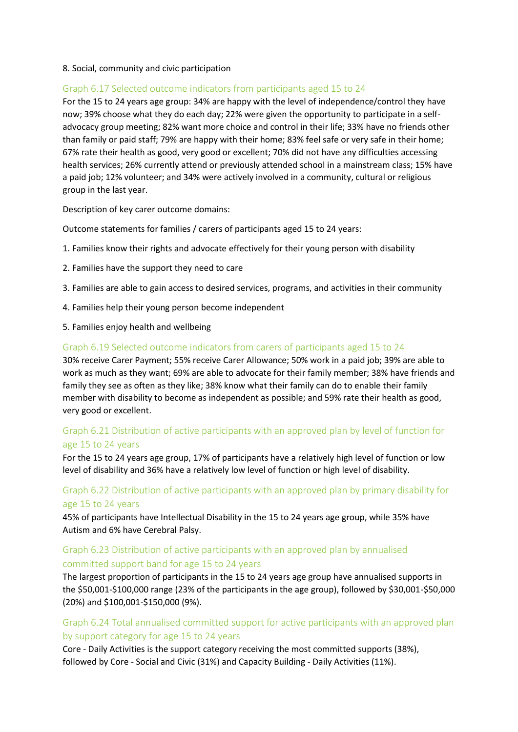#### 8. Social, community and civic participation

#### Graph 6.17 Selected outcome indicators from participants aged 15 to 24

For the 15 to 24 years age group: 34% are happy with the level of independence/control they have now; 39% choose what they do each day; 22% were given the opportunity to participate in a selfadvocacy group meeting; 82% want more choice and control in their life; 33% have no friends other than family or paid staff; 79% are happy with their home; 83% feel safe or very safe in their home; 67% rate their health as good, very good or excellent; 70% did not have any difficulties accessing health services; 26% currently attend or previously attended school in a mainstream class; 15% have a paid job; 12% volunteer; and 34% were actively involved in a community, cultural or religious group in the last year.

Description of key carer outcome domains:

Outcome statements for families / carers of participants aged 15 to 24 years:

- 1. Families know their rights and advocate effectively for their young person with disability
- 2. Families have the support they need to care
- 3. Families are able to gain access to desired services, programs, and activities in their community
- 4. Families help their young person become independent
- 5. Families enjoy health and wellbeing

#### Graph 6.19 Selected outcome indicators from carers of participants aged 15 to 24

30% receive Carer Payment; 55% receive Carer Allowance; 50% work in a paid job; 39% are able to work as much as they want; 69% are able to advocate for their family member; 38% have friends and family they see as often as they like; 38% know what their family can do to enable their family member with disability to become as independent as possible; and 59% rate their health as good, very good or excellent.

#### Graph 6.21 Distribution of active participants with an approved plan by level of function for age 15 to 24 years

For the 15 to 24 years age group, 17% of participants have a relatively high level of function or low level of disability and 36% have a relatively low level of function or high level of disability.

#### Graph 6.22 Distribution of active participants with an approved plan by primary disability for age 15 to 24 years

45% of participants have Intellectual Disability in the 15 to 24 years age group, while 35% have Autism and 6% have Cerebral Palsy.

#### Graph 6.23 Distribution of active participants with an approved plan by annualised committed support band for age 15 to 24 years

The largest proportion of participants in the 15 to 24 years age group have annualised supports in the \$50,001-\$100,000 range (23% of the participants in the age group), followed by \$30,001-\$50,000 (20%) and \$100,001-\$150,000 (9%).

#### Graph 6.24 Total annualised committed support for active participants with an approved plan by support category for age 15 to 24 years

Core - Daily Activities is the support category receiving the most committed supports (38%), followed by Core - Social and Civic (31%) and Capacity Building - Daily Activities (11%).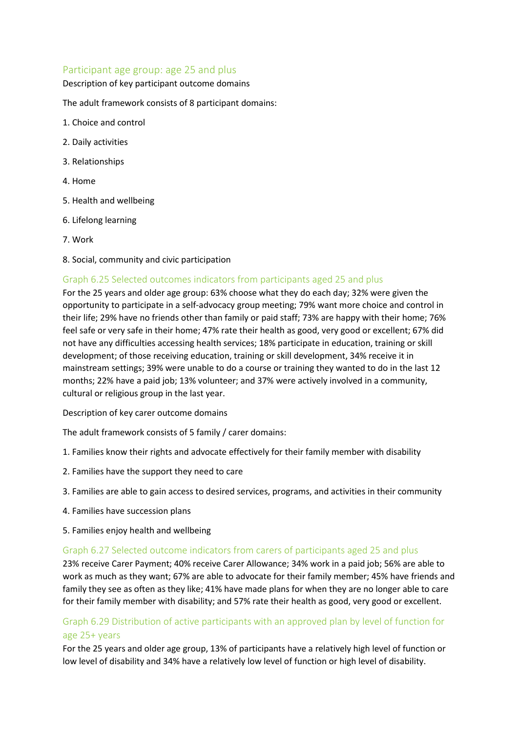#### Participant age group: age 25 and plus

#### Description of key participant outcome domains

The adult framework consists of 8 participant domains:

- 1. Choice and control
- 2. Daily activities
- 3. Relationships
- 4. Home
- 5. Health and wellbeing
- 6. Lifelong learning
- 7. Work
- 8. Social, community and civic participation

#### Graph 6.25 Selected outcomes indicators from participants aged 25 and plus

For the 25 years and older age group: 63% choose what they do each day; 32% were given the opportunity to participate in a self-advocacy group meeting; 79% want more choice and control in their life; 29% have no friends other than family or paid staff; 73% are happy with their home; 76% feel safe or very safe in their home; 47% rate their health as good, very good or excellent; 67% did not have any difficulties accessing health services; 18% participate in education, training or skill development; of those receiving education, training or skill development, 34% receive it in mainstream settings; 39% were unable to do a course or training they wanted to do in the last 12 months; 22% have a paid job; 13% volunteer; and 37% were actively involved in a community, cultural or religious group in the last year.

Description of key carer outcome domains

The adult framework consists of 5 family / carer domains:

- 1. Families know their rights and advocate effectively for their family member with disability
- 2. Families have the support they need to care
- 3. Families are able to gain access to desired services, programs, and activities in their community
- 4. Families have succession plans
- 5. Families enjoy health and wellbeing

#### Graph 6.27 Selected outcome indicators from carers of participants aged 25 and plus

23% receive Carer Payment; 40% receive Carer Allowance; 34% work in a paid job; 56% are able to work as much as they want; 67% are able to advocate for their family member; 45% have friends and family they see as often as they like; 41% have made plans for when they are no longer able to care for their family member with disability; and 57% rate their health as good, very good or excellent.

## Graph 6.29 Distribution of active participants with an approved plan by level of function for age 25+ years

For the 25 years and older age group, 13% of participants have a relatively high level of function or low level of disability and 34% have a relatively low level of function or high level of disability.